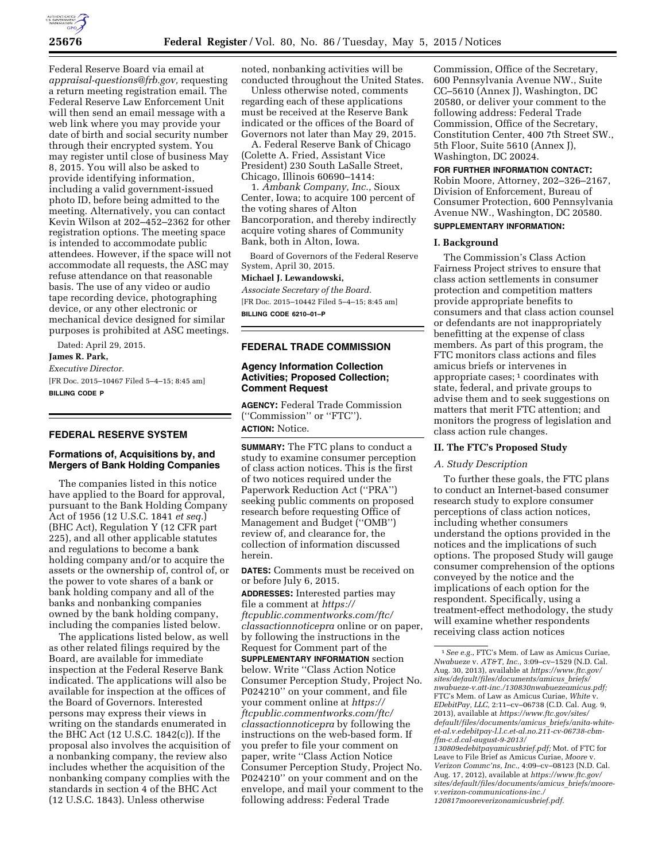

Federal Reserve Board via email at *[appraisal-questions@frb.gov,](mailto:appraisal-questions@frb.gov)* requesting a return meeting registration email. The Federal Reserve Law Enforcement Unit will then send an email message with a web link where you may provide your date of birth and social security number through their encrypted system. You may register until close of business May 8, 2015. You will also be asked to provide identifying information, including a valid government-issued photo ID, before being admitted to the meeting. Alternatively, you can contact Kevin Wilson at 202–452–2362 for other registration options. The meeting space is intended to accommodate public attendees. However, if the space will not accommodate all requests, the ASC may refuse attendance on that reasonable basis. The use of any video or audio tape recording device, photographing device, or any other electronic or mechanical device designed for similar purposes is prohibited at ASC meetings.

Dated: April 29, 2015.

**James R. Park,** 

*Executive Director.*  [FR Doc. 2015–10467 Filed 5–4–15; 8:45 am] **BILLING CODE P** 

## **FEDERAL RESERVE SYSTEM**

## **Formations of, Acquisitions by, and Mergers of Bank Holding Companies**

The companies listed in this notice have applied to the Board for approval, pursuant to the Bank Holding Company Act of 1956 (12 U.S.C. 1841 *et seq.*) (BHC Act), Regulation Y (12 CFR part 225), and all other applicable statutes and regulations to become a bank holding company and/or to acquire the assets or the ownership of, control of, or the power to vote shares of a bank or bank holding company and all of the banks and nonbanking companies owned by the bank holding company, including the companies listed below.

The applications listed below, as well as other related filings required by the Board, are available for immediate inspection at the Federal Reserve Bank indicated. The applications will also be available for inspection at the offices of the Board of Governors. Interested persons may express their views in writing on the standards enumerated in the BHC Act (12 U.S.C. 1842(c)). If the proposal also involves the acquisition of a nonbanking company, the review also includes whether the acquisition of the nonbanking company complies with the standards in section 4 of the BHC Act (12 U.S.C. 1843). Unless otherwise

noted, nonbanking activities will be conducted throughout the United States.

Unless otherwise noted, comments regarding each of these applications must be received at the Reserve Bank indicated or the offices of the Board of Governors not later than May 29, 2015.

A. Federal Reserve Bank of Chicago (Colette A. Fried, Assistant Vice President) 230 South LaSalle Street, Chicago, Illinois 60690–1414:

1. *Ambank Company, Inc.,* Sioux Center, Iowa; to acquire 100 percent of the voting shares of Alton Bancorporation, and thereby indirectly acquire voting shares of Community Bank, both in Alton, Iowa.

Board of Governors of the Federal Reserve System, April 30, 2015.

#### **Michael J. Lewandowski,**

*Associate Secretary of the Board.*  [FR Doc. 2015–10442 Filed 5–4–15; 8:45 am] **BILLING CODE 6210–01–P** 

## **FEDERAL TRADE COMMISSION**

## **Agency Information Collection Activities; Proposed Collection; Comment Request**

**AGENCY:** Federal Trade Commission (''Commission'' or ''FTC''). **ACTION:** Notice.

**SUMMARY:** The FTC plans to conduct a study to examine consumer perception of class action notices. This is the first of two notices required under the Paperwork Reduction Act (''PRA'') seeking public comments on proposed research before requesting Office of Management and Budget (''OMB'') review of, and clearance for, the collection of information discussed herein.

**DATES:** Comments must be received on or before July 6, 2015.

**ADDRESSES:** Interested parties may file a comment at *[https://](https://ftcpublic.commentworks.com/ftc/classactionnoticepra) [ftcpublic.commentworks.com/ftc/](https://ftcpublic.commentworks.com/ftc/classactionnoticepra) [classactionnoticepra](https://ftcpublic.commentworks.com/ftc/classactionnoticepra)* online or on paper, by following the instructions in the Request for Comment part of the **SUPPLEMENTARY INFORMATION** section below. Write ''Class Action Notice Consumer Perception Study, Project No. P024210'' on your comment, and file your comment online at *[https://](https://ftcpublic.commentworks.com/ftc/classactionnoticepra) [ftcpublic.commentworks.com/ftc/](https://ftcpublic.commentworks.com/ftc/classactionnoticepra) [classactionnoticepra](https://ftcpublic.commentworks.com/ftc/classactionnoticepra)* by following the instructions on the web-based form. If you prefer to file your comment on paper, write ''Class Action Notice Consumer Perception Study, Project No. P024210'' on your comment and on the envelope, and mail your comment to the following address: Federal Trade

Commission, Office of the Secretary, 600 Pennsylvania Avenue NW., Suite CC–5610 (Annex J), Washington, DC 20580, or deliver your comment to the following address: Federal Trade Commission, Office of the Secretary, Constitution Center, 400 7th Street SW., 5th Floor, Suite 5610 (Annex J), Washington, DC 20024.

**FOR FURTHER INFORMATION CONTACT:** 

Robin Moore, Attorney, 202–326–2167, Division of Enforcement, Bureau of Consumer Protection, 600 Pennsylvania Avenue NW., Washington, DC 20580. **SUPPLEMENTARY INFORMATION:** 

# **I. Background**

The Commission's Class Action Fairness Project strives to ensure that class action settlements in consumer protection and competition matters provide appropriate benefits to consumers and that class action counsel or defendants are not inappropriately benefitting at the expense of class members. As part of this program, the FTC monitors class actions and files amicus briefs or intervenes in appropriate cases; 1 coordinates with state, federal, and private groups to advise them and to seek suggestions on matters that merit FTC attention; and monitors the progress of legislation and class action rule changes.

#### **II. The FTC's Proposed Study**

#### *A. Study Description*

To further these goals, the FTC plans to conduct an Internet-based consumer research study to explore consumer perceptions of class action notices, including whether consumers understand the options provided in the notices and the implications of such options. The proposed Study will gauge consumer comprehension of the options conveyed by the notice and the implications of each option for the respondent. Specifically, using a treatment-effect methodology, the study will examine whether respondents receiving class action notices

*[130809edebitpayamicusbrief.pdf;](https://www.ftc.gov/sites/default/files/documents/amicus_briefs/anita-white-et-al.v.edebitpay-l.l.c.et-al.no.211-cv-06738-cbm-ffm-c.d.cal-august-9-2013/130809edebitpayamicusbrief.pdf)* Mot. of FTC for Leave to File Brief as Amicus Curiae, *Moore* v. *Verizon Commc'ns, Inc.,* 4:09–cv–08123 (N.D. Cal. Aug. 17, 2012), available at *[https://www.ftc.gov/](https://www.ftc.gov/sites/default/files/documents/amicus_briefs/moore-v.verizon-communications-inc./120817mooreverizonamicusbrief.pdf) [sites/default/files/documents/amicus](https://www.ftc.gov/sites/default/files/documents/amicus_briefs/moore-v.verizon-communications-inc./120817mooreverizonamicusbrief.pdf)*\_*briefs/moore[v.verizon-communications-inc./](https://www.ftc.gov/sites/default/files/documents/amicus_briefs/moore-v.verizon-communications-inc./120817mooreverizonamicusbrief.pdf) [120817mooreverizonamicusbrief.pdf.](https://www.ftc.gov/sites/default/files/documents/amicus_briefs/moore-v.verizon-communications-inc./120817mooreverizonamicusbrief.pdf)* 

<sup>1</sup>*See e.g.,* FTC's Mem. of Law as Amicus Curiae, *Nwabueze* v. *AT&T, Inc.,* 3:09–cv–1529 (N.D. Cal. Aug. 30, 2013), available at *[https://www.ftc.gov/](https://www.ftc.gov/sites/default/files/documents/amicus_briefs/nwabueze-v.att-inc./130830nwabuezeamicus.pdf) [sites/default/files/documents/amicus](https://www.ftc.gov/sites/default/files/documents/amicus_briefs/nwabueze-v.att-inc./130830nwabuezeamicus.pdf)*\_*briefs/ [nwabueze-v.att-inc./130830nwabuezeamicus.pdf;](https://www.ftc.gov/sites/default/files/documents/amicus_briefs/nwabueze-v.att-inc./130830nwabuezeamicus.pdf)*  FTC's Mem. of Law as Amicus Curiae, *White* v. *EDebitPay, LLC,* 2:11–cv–06738 (C.D. Cal. Aug. 9, 2013), available at *[https://www.ftc.gov/sites/](https://www.ftc.gov/sites/default/files/documents/amicus_briefs/anita-white-et-al.v.edebitpay-l.l.c.et-al.no.211-cv-06738-cbm-ffm-c.d.cal-august-9-2013/130809edebitpayamicusbrief.pdf) [default/files/documents/amicus](https://www.ftc.gov/sites/default/files/documents/amicus_briefs/anita-white-et-al.v.edebitpay-l.l.c.et-al.no.211-cv-06738-cbm-ffm-c.d.cal-august-9-2013/130809edebitpayamicusbrief.pdf)*\_*briefs/anita-white[et-al.v.edebitpay-l.l.c.et-al.no.211-cv-06738-cbm](https://www.ftc.gov/sites/default/files/documents/amicus_briefs/anita-white-et-al.v.edebitpay-l.l.c.et-al.no.211-cv-06738-cbm-ffm-c.d.cal-august-9-2013/130809edebitpayamicusbrief.pdf)[ffm-c.d.cal-august-9-2013/](https://www.ftc.gov/sites/default/files/documents/amicus_briefs/anita-white-et-al.v.edebitpay-l.l.c.et-al.no.211-cv-06738-cbm-ffm-c.d.cal-august-9-2013/130809edebitpayamicusbrief.pdf)*